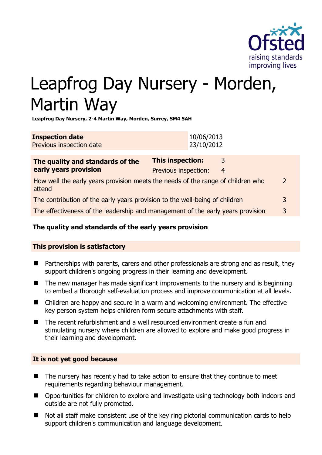

# Leapfrog Day Nursery - Morden, Martin Way

**Leapfrog Day Nursery, 2-4 Martin Way, Morden, Surrey, SM4 5AH** 

| <b>Inspection date</b>   | 10/06/2013 |
|--------------------------|------------|
| Previous inspection date | 23/10/2012 |

| The quality and standards of the<br>early years provision                                 | This inspection:     | 3 |               |
|-------------------------------------------------------------------------------------------|----------------------|---|---------------|
|                                                                                           | Previous inspection: | 4 |               |
| How well the early years provision meets the needs of the range of children who<br>attend |                      |   | $\mathcal{P}$ |
| The contribution of the early years provision to the well-being of children               |                      |   | 3             |
| The effectiveness of the leadership and management of the early years provision           |                      |   | $\mathbf{R}$  |
|                                                                                           |                      |   |               |

# **The quality and standards of the early years provision**

#### **This provision is satisfactory**

- **Partnerships with parents, carers and other professionals are strong and as result, they** support children's ongoing progress in their learning and development.
- $\blacksquare$  The new manager has made significant improvements to the nursery and is beginning to embed a thorough self-evaluation process and improve communication at all levels.
- Children are happy and secure in a warm and welcoming environment. The effective key person system helps children form secure attachments with staff.
- The recent refurbishment and a well resourced environment create a fun and stimulating nursery where children are allowed to explore and make good progress in their learning and development.

#### **It is not yet good because**

- $\blacksquare$  The nursery has recently had to take action to ensure that they continue to meet requirements regarding behaviour management.
- Opportunities for children to explore and investigate using technology both indoors and outside are not fully promoted.
- Not all staff make consistent use of the key ring pictorial communication cards to help support children's communication and language development.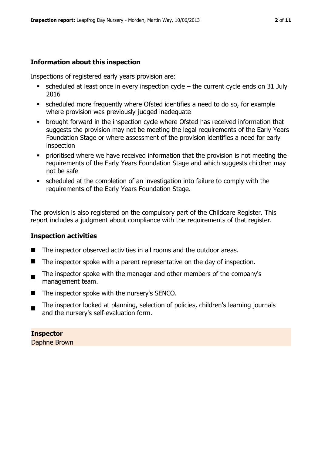### **Information about this inspection**

Inspections of registered early years provision are:

- $\bullet$  scheduled at least once in every inspection cycle the current cycle ends on 31 July 2016
- scheduled more frequently where Ofsted identifies a need to do so, for example where provision was previously judged inadequate
- **•** brought forward in the inspection cycle where Ofsted has received information that suggests the provision may not be meeting the legal requirements of the Early Years Foundation Stage or where assessment of the provision identifies a need for early inspection
- **•** prioritised where we have received information that the provision is not meeting the requirements of the Early Years Foundation Stage and which suggests children may not be safe
- scheduled at the completion of an investigation into failure to comply with the requirements of the Early Years Foundation Stage.

The provision is also registered on the compulsory part of the Childcare Register. This report includes a judgment about compliance with the requirements of that register.

# **Inspection activities**

- The inspector observed activities in all rooms and the outdoor areas.
- $\blacksquare$  The inspector spoke with a parent representative on the day of inspection.
- The inspector spoke with the manager and other members of the company's management team.
- The inspector spoke with the nursery's SENCO.
- $\blacksquare$ The inspector looked at planning, selection of policies, children's learning journals and the nursery's self-evaluation form.

# **Inspector**

Daphne Brown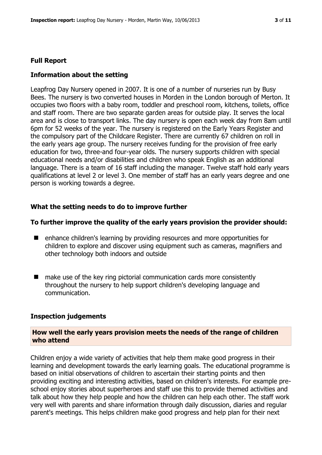#### **Full Report**

#### **Information about the setting**

Leapfrog Day Nursery opened in 2007. It is one of a number of nurseries run by Busy Bees. The nursery is two converted houses in Morden in the London borough of Merton. It occupies two floors with a baby room, toddler and preschool room, kitchens, toilets, office and staff room. There are two separate garden areas for outside play. It serves the local area and is close to transport links. The day nursery is open each week day from 8am until 6pm for 52 weeks of the year. The nursery is registered on the Early Years Register and the compulsory part of the Childcare Register. There are currently 67 children on roll in the early years age group. The nursery receives funding for the provision of free early education for two, three-and four-year olds. The nursery supports children with special educational needs and/or disabilities and children who speak English as an additional language. There is a team of 16 staff including the manager. Twelve staff hold early years qualifications at level 2 or level 3. One member of staff has an early years degree and one person is working towards a degree.

#### **What the setting needs to do to improve further**

#### **To further improve the quality of the early years provision the provider should:**

- enhance children's learning by providing resources and more opportunities for children to explore and discover using equipment such as cameras, magnifiers and other technology both indoors and outside
- make use of the key ring pictorial communication cards more consistently throughout the nursery to help support children's developing language and communication.

#### **Inspection judgements**

#### **How well the early years provision meets the needs of the range of children who attend**

Children enjoy a wide variety of activities that help them make good progress in their learning and development towards the early learning goals. The educational programme is based on initial observations of children to ascertain their starting points and then providing exciting and interesting activities, based on children's interests. For example preschool enjoy stories about superheroes and staff use this to provide themed activities and talk about how they help people and how the children can help each other. The staff work very well with parents and share information through daily discussion, diaries and regular parent's meetings. This helps children make good progress and help plan for their next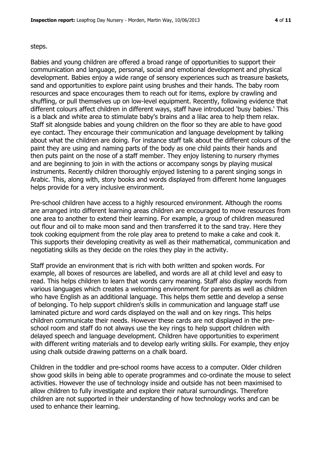#### steps.

Babies and young children are offered a broad range of opportunities to support their communication and language, personal, social and emotional development and physical development. Babies enjoy a wide range of sensory experiences such as treasure baskets, sand and opportunities to explore paint using brushes and their hands. The baby room resources and space encourages them to reach out for items, explore by crawling and shuffling, or pull themselves up on low-level equipment. Recently, following evidence that different colours affect children in different ways, staff have introduced 'busy babies.' This is a black and white area to stimulate baby's brains and a lilac area to help them relax. Staff sit alongside babies and young children on the floor so they are able to have good eye contact. They encourage their communication and language development by talking about what the children are doing. For instance staff talk about the different colours of the paint they are using and naming parts of the body as one child paints their hands and then puts paint on the nose of a staff member. They enjoy listening to nursery rhymes and are beginning to join in with the actions or accompany songs by playing musical instruments. Recently children thoroughly enjoyed listening to a parent singing songs in Arabic. This, along with, story books and words displayed from different home languages helps provide for a very inclusive environment.

Pre-school children have access to a highly resourced environment. Although the rooms are arranged into different learning areas children are encouraged to move resources from one area to another to extend their learning. For example, a group of children measured out flour and oil to make moon sand and then transferred it to the sand tray. Here they took cooking equipment from the role play area to pretend to make a cake and cook it. This supports their developing creativity as well as their mathematical, communication and negotiating skills as they decide on the roles they play in the activity.

Staff provide an environment that is rich with both written and spoken words. For example, all boxes of resources are labelled, and words are all at child level and easy to read. This helps children to learn that words carry meaning. Staff also display words from various languages which creates a welcoming environment for parents as well as children who have English as an additional language. This helps them settle and develop a sense of belonging. To help support children's skills in communication and language staff use laminated picture and word cards displayed on the wall and on key rings. This helps children communicate their needs. However these cards are not displayed in the preschool room and staff do not always use the key rings to help support children with delayed speech and language development. Children have opportunities to experiment with different writing materials and to develop early writing skills. For example, they enjoy using chalk outside drawing patterns on a chalk board.

Children in the toddler and pre-school rooms have access to a computer. Older children show good skills in being able to operate programmes and co-ordinate the mouse to select activities. However the use of technology inside and outside has not been maximised to allow children to fully investigate and explore their natural surroundings. Therefore children are not supported in their understanding of how technology works and can be used to enhance their learning.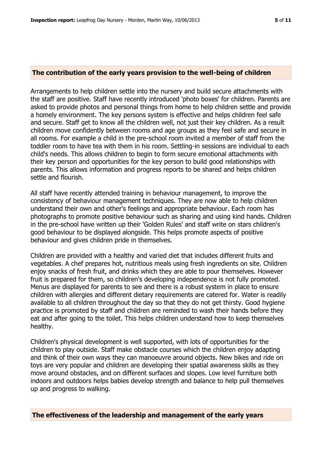#### **The contribution of the early years provision to the well-being of children**

Arrangements to help children settle into the nursery and build secure attachments with the staff are positive. Staff have recently introduced 'photo boxes' for children. Parents are asked to provide photos and personal things from home to help children settle and provide a homely environment. The key persons system is effective and helps children feel safe and secure. Staff get to know all the children well, not just their key children. As a result children move confidently between rooms and age groups as they feel safe and secure in all rooms. For example a child in the pre-school room invited a member of staff from the toddler room to have tea with them in his room. Settling-in sessions are individual to each child's needs. This allows children to begin to form secure emotional attachments with their key person and opportunities for the key person to build good relationships with parents. This allows information and progress reports to be shared and helps children settle and flourish.

All staff have recently attended training in behaviour management, to improve the consistency of behaviour management techniques. They are now able to help children understand their own and other's feelings and appropriate behaviour. Each room has photographs to promote positive behaviour such as sharing and using kind hands. Children in the pre-school have written up their 'Golden Rules' and staff write on stars children's good behaviour to be displayed alongside. This helps promote aspects of positive behaviour and gives children pride in themselves.

Children are provided with a healthy and varied diet that includes different fruits and vegetables. A chef prepares hot, nutritious meals using fresh ingredients on site. Children enjoy snacks of fresh fruit, and drinks which they are able to pour themselves. However fruit is prepared for them, so children's developing independence is not fully promoted. Menus are displayed for parents to see and there is a robust system in place to ensure children with allergies and different dietary requirements are catered for. Water is readily available to all children throughout the day so that they do not get thirsty. Good hygiene practice is promoted by staff and children are reminded to wash their hands before they eat and after going to the toilet. This helps children understand how to keep themselves healthy.

Children's physical development is well supported, with lots of opportunities for the children to play outside. Staff make obstacle courses which the children enjoy adapting and think of their own ways they can manoeuvre around objects. New bikes and ride on toys are very popular and children are developing their spatial awareness skills as they move around obstacles, and on different surfaces and slopes. Low level furniture both indoors and outdoors helps babies develop strength and balance to help pull themselves up and progress to walking.

**The effectiveness of the leadership and management of the early years**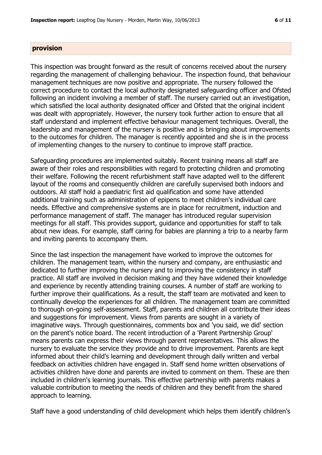#### **provision**

This inspection was brought forward as the result of concerns received about the nursery regarding the management of challenging behaviour. The inspection found, that behaviour management techniques are now positive and appropriate. The nursery followed the correct procedure to contact the local authority designated safeguarding officer and Ofsted following an incident involving a member of staff. The nursery carried out an investigation, which satisfied the local authority designated officer and Ofsted that the original incident was dealt with appropriately. However, the nursery took further action to ensure that all staff understand and implement effective behaviour management techniques. Overall, the leadership and management of the nursery is positive and is bringing about improvements to the outcomes for children. The manager is recently appointed and she is in the process of implementing changes to the nursery to continue to improve staff practice.

Safeguarding procedures are implemented suitably. Recent training means all staff are aware of their roles and responsibilities with regard to protecting children and promoting their welfare. Following the recent refurbishment staff have adapted well to the different layout of the rooms and consequently children are carefully supervised both indoors and outdoors. All staff hold a paediatric first aid qualification and some have attended additional training such as administration of epipens to meet children's individual care needs. Effective and comprehensive systems are in place for recruitment, induction and performance management of staff. The manager has introduced regular supervision meetings for all staff. This provides support, guidance and opportunities for staff to talk about new ideas. For example, staff caring for babies are planning a trip to a nearby farm and inviting parents to accompany them.

Since the last inspection the management have worked to improve the outcomes for children. The management team, within the nursery and company, are enthusiastic and dedicated to further improving the nursery and to improving the consistency in staff practice. All staff are involved in decision making and they have widened their knowledge and experience by recently attending training courses. A number of staff are working to further improve their qualifications. As a result, the staff team are motivated and keen to continually develop the experiences for all children. The management team are committed to thorough on-going self-assessment. Staff, parents and children all contribute their ideas and suggestions for improvement. Views from parents are sought in a variety of imaginative ways. Through questionnaires, comments box and 'you said, we did' section on the parent's notice board. The recent introduction of a 'Parent Partnership Group' means parents can express their views through parent representatives. This allows the nursery to evaluate the service they provide and to drive improvement. Parents are kept informed about their child's learning and development through daily written and verbal feedback on activities children have engaged in. Staff send home written observations of activities children have done and parents are invited to comment on them. These are then included in children's learning journals. This effective partnership with parents makes a valuable contribution to meeting the needs of children and they benefit from the shared approach to learning.

Staff have a good understanding of child development which helps them identify children's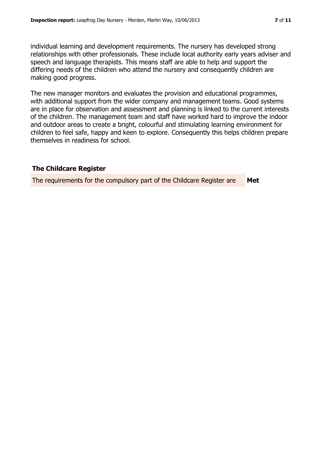individual learning and development requirements. The nursery has developed strong relationships with other professionals. These include local authority early years adviser and speech and language therapists. This means staff are able to help and support the differing needs of the children who attend the nursery and consequently children are making good progress.

The new manager monitors and evaluates the provision and educational programmes, with additional support from the wider company and management teams. Good systems are in place for observation and assessment and planning is linked to the current interests of the children. The management team and staff have worked hard to improve the indoor and outdoor areas to create a bright, colourful and stimulating learning environment for children to feel safe, happy and keen to explore. Consequently this helps children prepare themselves in readiness for school.

# **The Childcare Register**

The requirements for the compulsory part of the Childcare Register are **Met**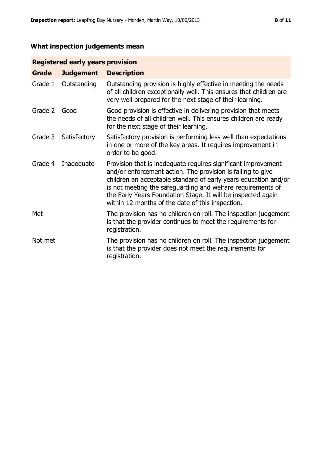# **What inspection judgements mean**

## **Registered early years provision**

| Grade   | <b>Judgement</b> | <b>Description</b>                                                                                                                                                                                                                                                                                                                                                                 |
|---------|------------------|------------------------------------------------------------------------------------------------------------------------------------------------------------------------------------------------------------------------------------------------------------------------------------------------------------------------------------------------------------------------------------|
| Grade 1 | Outstanding      | Outstanding provision is highly effective in meeting the needs<br>of all children exceptionally well. This ensures that children are<br>very well prepared for the next stage of their learning.                                                                                                                                                                                   |
| Grade 2 | Good             | Good provision is effective in delivering provision that meets<br>the needs of all children well. This ensures children are ready<br>for the next stage of their learning.                                                                                                                                                                                                         |
| Grade 3 | Satisfactory     | Satisfactory provision is performing less well than expectations<br>in one or more of the key areas. It requires improvement in<br>order to be good.                                                                                                                                                                                                                               |
| Grade 4 | Inadequate       | Provision that is inadequate requires significant improvement<br>and/or enforcement action. The provision is failing to give<br>children an acceptable standard of early years education and/or<br>is not meeting the safeguarding and welfare requirements of<br>the Early Years Foundation Stage. It will be inspected again<br>within 12 months of the date of this inspection. |
| Met     |                  | The provision has no children on roll. The inspection judgement<br>is that the provider continues to meet the requirements for<br>registration.                                                                                                                                                                                                                                    |
| Not met |                  | The provision has no children on roll. The inspection judgement<br>is that the provider does not meet the requirements for<br>registration.                                                                                                                                                                                                                                        |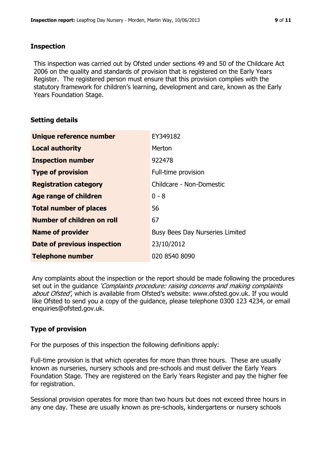#### **Inspection**

This inspection was carried out by Ofsted under sections 49 and 50 of the Childcare Act 2006 on the quality and standards of provision that is registered on the Early Years Register. The registered person must ensure that this provision complies with the statutory framework for children's learning, development and care, known as the Early Years Foundation Stage.

#### **Setting details**

| Unique reference number       | EY349182                               |
|-------------------------------|----------------------------------------|
| <b>Local authority</b>        | Merton                                 |
| <b>Inspection number</b>      | 922478                                 |
| <b>Type of provision</b>      | Full-time provision                    |
| <b>Registration category</b>  | Childcare - Non-Domestic               |
| <b>Age range of children</b>  | $0 - 8$                                |
| <b>Total number of places</b> | 56                                     |
| Number of children on roll    | 67                                     |
| <b>Name of provider</b>       | <b>Busy Bees Day Nurseries Limited</b> |
| Date of previous inspection   | 23/10/2012                             |
| <b>Telephone number</b>       | 020 8540 8090                          |

Any complaints about the inspection or the report should be made following the procedures set out in the guidance *'Complaints procedure: raising concerns and making complaints* about Ofsted', which is available from Ofsted's website: www.ofsted.gov.uk. If you would like Ofsted to send you a copy of the guidance, please telephone 0300 123 4234, or email enquiries@ofsted.gov.uk.

## **Type of provision**

For the purposes of this inspection the following definitions apply:

Full-time provision is that which operates for more than three hours. These are usually known as nurseries, nursery schools and pre-schools and must deliver the Early Years Foundation Stage. They are registered on the Early Years Register and pay the higher fee for registration.

Sessional provision operates for more than two hours but does not exceed three hours in any one day. These are usually known as pre-schools, kindergartens or nursery schools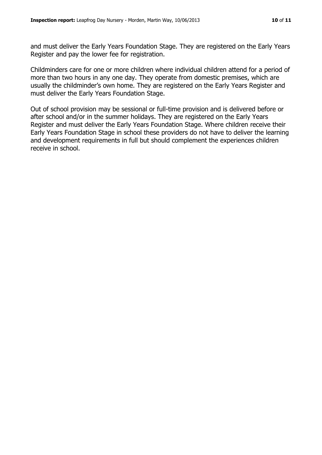and must deliver the Early Years Foundation Stage. They are registered on the Early Years Register and pay the lower fee for registration.

Childminders care for one or more children where individual children attend for a period of more than two hours in any one day. They operate from domestic premises, which are usually the childminder's own home. They are registered on the Early Years Register and must deliver the Early Years Foundation Stage.

Out of school provision may be sessional or full-time provision and is delivered before or after school and/or in the summer holidays. They are registered on the Early Years Register and must deliver the Early Years Foundation Stage. Where children receive their Early Years Foundation Stage in school these providers do not have to deliver the learning and development requirements in full but should complement the experiences children receive in school.